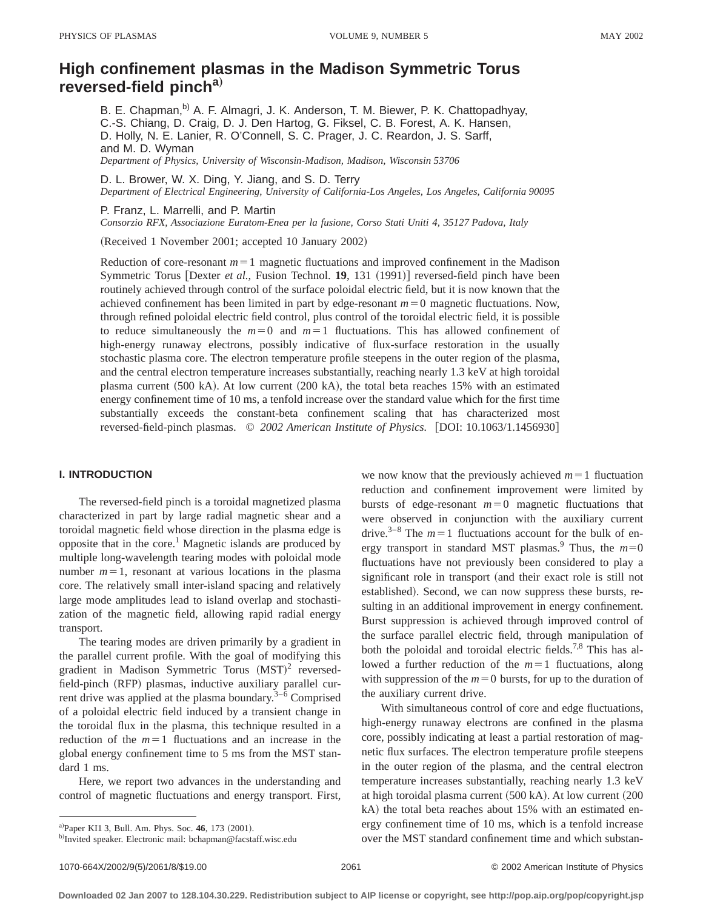# **High confinement plasmas in the Madison Symmetric Torus reversed-field pincha**…

B. E. Chapman,<sup>b)</sup> A. F. Almagri, J. K. Anderson, T. M. Biewer, P. K. Chattopadhyay, C.-S. Chiang, D. Craig, D. J. Den Hartog, G. Fiksel, C. B. Forest, A. K. Hansen, D. Holly, N. E. Lanier, R. O'Connell, S. C. Prager, J. C. Reardon, J. S. Sarff, and M. D. Wyman *Department of Physics, University of Wisconsin-Madison, Madison, Wisconsin 53706*

D. L. Brower, W. X. Ding, Y. Jiang, and S. D. Terry *Department of Electrical Engineering, University of California-Los Angeles, Los Angeles, California 90095*

P. Franz, L. Marrelli, and P. Martin

*Consorzio RFX, Associazione Euratom-Enea per la fusione, Corso Stati Uniti 4, 35127 Padova, Italy*

(Received 1 November 2001; accepted 10 January 2002)

Reduction of core-resonant  $m=1$  magnetic fluctuations and improved confinement in the Madison Symmetric Torus [Dexter *et al.*, Fusion Technol. **19**, 131  $(1991)$ ] reversed-field pinch have been routinely achieved through control of the surface poloidal electric field, but it is now known that the achieved confinement has been limited in part by edge-resonant  $m=0$  magnetic fluctuations. Now, through refined poloidal electric field control, plus control of the toroidal electric field, it is possible to reduce simultaneously the  $m=0$  and  $m=1$  fluctuations. This has allowed confinement of high-energy runaway electrons, possibly indicative of flux-surface restoration in the usually stochastic plasma core. The electron temperature profile steepens in the outer region of the plasma, and the central electron temperature increases substantially, reaching nearly 1.3 keV at high toroidal plasma current  $(500 \text{ kA})$ . At low current  $(200 \text{ kA})$ , the total beta reaches 15% with an estimated energy confinement time of 10 ms, a tenfold increase over the standard value which for the first time substantially exceeds the constant-beta confinement scaling that has characterized most reversed-field-pinch plasmas.  $\degree$  2002 American Institute of Physics. [DOI: 10.1063/1.1456930]

## **I. INTRODUCTION**

The reversed-field pinch is a toroidal magnetized plasma characterized in part by large radial magnetic shear and a toroidal magnetic field whose direction in the plasma edge is opposite that in the core.<sup>1</sup> Magnetic islands are produced by multiple long-wavelength tearing modes with poloidal mode number  $m=1$ , resonant at various locations in the plasma core. The relatively small inter-island spacing and relatively large mode amplitudes lead to island overlap and stochastization of the magnetic field, allowing rapid radial energy transport.

The tearing modes are driven primarily by a gradient in the parallel current profile. With the goal of modifying this gradient in Madison Symmetric Torus  $(MST)^2$  reversedfield-pinch (RFP) plasmas, inductive auxiliary parallel current drive was applied at the plasma boundary.<sup>3–6</sup> Comprised of a poloidal electric field induced by a transient change in the toroidal flux in the plasma, this technique resulted in a reduction of the  $m=1$  fluctuations and an increase in the global energy confinement time to 5 ms from the MST standard 1 ms.

Here, we report two advances in the understanding and control of magnetic fluctuations and energy transport. First, we now know that the previously achieved  $m=1$  fluctuation reduction and confinement improvement were limited by bursts of edge-resonant  $m=0$  magnetic fluctuations that were observed in conjunction with the auxiliary current drive.<sup>3–8</sup> The  $m=1$  fluctuations account for the bulk of energy transport in standard MST plasmas.<sup>9</sup> Thus, the  $m=0$ fluctuations have not previously been considered to play a significant role in transport (and their exact role is still not established). Second, we can now suppress these bursts, resulting in an additional improvement in energy confinement. Burst suppression is achieved through improved control of the surface parallel electric field, through manipulation of both the poloidal and toroidal electric fields.<sup>7,8</sup> This has allowed a further reduction of the  $m=1$  fluctuations, along with suppression of the  $m=0$  bursts, for up to the duration of the auxiliary current drive.

With simultaneous control of core and edge fluctuations, high-energy runaway electrons are confined in the plasma core, possibly indicating at least a partial restoration of magnetic flux surfaces. The electron temperature profile steepens in the outer region of the plasma, and the central electron temperature increases substantially, reaching nearly 1.3 keV at high toroidal plasma current  $(500$  kA). At low current  $(200$ kA) the total beta reaches about 15% with an estimated energy confinement time of 10 ms, which is a tenfold increase over the MST standard confinement time and which substan-

a)Paper KI1 3, Bull. Am. Phys. Soc. 46, 173 (2001).

b)Invited speaker. Electronic mail: bchapman@facstaff.wisc.edu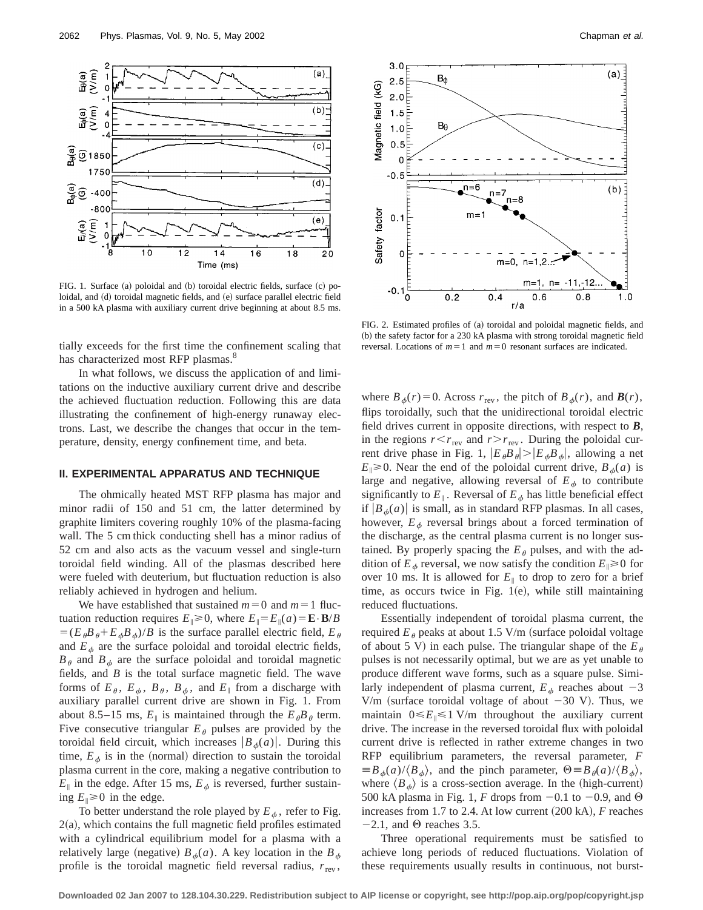

FIG. 1. Surface (a) poloidal and (b) toroidal electric fields, surface (c) poloidal, and (d) toroidal magnetic fields, and (e) surface parallel electric field in a 500 kA plasma with auxiliary current drive beginning at about 8.5 ms.

tially exceeds for the first time the confinement scaling that has characterized most RFP plasmas.<sup>8</sup>

In what follows, we discuss the application of and limitations on the inductive auxiliary current drive and describe the achieved fluctuation reduction. Following this are data illustrating the confinement of high-energy runaway electrons. Last, we describe the changes that occur in the temperature, density, energy confinement time, and beta.

## **II. EXPERIMENTAL APPARATUS AND TECHNIQUE**

The ohmically heated MST RFP plasma has major and minor radii of 150 and 51 cm, the latter determined by graphite limiters covering roughly 10% of the plasma-facing wall. The 5 cm thick conducting shell has a minor radius of 52 cm and also acts as the vacuum vessel and single-turn toroidal field winding. All of the plasmas described here were fueled with deuterium, but fluctuation reduction is also reliably achieved in hydrogen and helium.

We have established that sustained  $m=0$  and  $m=1$  fluctuation reduction requires  $E_{\parallel} \ge 0$ , where  $E_{\parallel} = E_{\parallel}(a) = \mathbf{E} \cdot \mathbf{B}/B$  $=(E_{\theta}B_{\theta}+E_{\theta}B_{\phi})/B$  is the surface parallel electric field,  $E_{\theta}$ and  $E_{\phi}$  are the surface poloidal and toroidal electric fields,  $B_\theta$  and  $B_\phi$  are the surface poloidal and toroidal magnetic fields, and *B* is the total surface magnetic field. The wave forms of  $E_{\theta}$ ,  $E_{\phi}$ ,  $B_{\theta}$ ,  $B_{\phi}$ , and  $E_{\parallel}$  from a discharge with auxiliary parallel current drive are shown in Fig. 1. From about 8.5–15 ms,  $E_{\parallel}$  is maintained through the  $E_{\theta}B_{\theta}$  term. Five consecutive triangular  $E_{\theta}$  pulses are provided by the toroidal field circuit, which increases  $\left|B_{\phi}(a)\right|$ . During this time,  $E_{\phi}$  is in the (normal) direction to sustain the toroidal plasma current in the core, making a negative contribution to  $E_{\parallel}$  in the edge. After 15 ms,  $E_{\phi}$  is reversed, further sustaining  $E_{\parallel} \ge 0$  in the edge.

To better understand the role played by  $E_{\phi}$ , refer to Fig.  $2(a)$ , which contains the full magnetic field profiles estimated with a cylindrical equilibrium model for a plasma with a relatively large (negative)  $B_{\phi}(a)$ . A key location in the  $B_{\phi}$ profile is the toroidal magnetic field reversal radius,  $r_{\text{rev}}$ ,



FIG. 2. Estimated profiles of (a) toroidal and poloidal magnetic fields, and (b) the safety factor for a 230 kA plasma with strong toroidal magnetic field reversal. Locations of  $m=1$  and  $m=0$  resonant surfaces are indicated.

where  $B_{\phi}(r) = 0$ . Across  $r_{\text{rev}}$ , the pitch of  $B_{\phi}(r)$ , and  $\mathbf{B}(r)$ , flips toroidally, such that the unidirectional toroidal electric field drives current in opposite directions, with respect to *B*, in the regions  $r < r_{\text{rev}}$  and  $r > r_{\text{rev}}$ . During the poloidal current drive phase in Fig. 1,  $|E_{\theta}B_{\theta}| > |E_{\phi}B_{\phi}|$ , allowing a net  $E_{\parallel} \ge 0$ . Near the end of the poloidal current drive,  $B_{\phi}(a)$  is large and negative, allowing reversal of  $E_{\phi}$  to contribute significantly to  $E_{\parallel}$ . Reversal of  $E_{\phi}$  has little beneficial effect if  $|B_{\phi}(a)|$  is small, as in standard RFP plasmas. In all cases, however,  $E_{\phi}$  reversal brings about a forced termination of the discharge, as the central plasma current is no longer sustained. By properly spacing the  $E_{\theta}$  pulses, and with the addition of  $E_{\phi}$  reversal, we now satisfy the condition  $E_{\parallel} \ge 0$  for over 10 ms. It is allowed for  $E_{\parallel}$  to drop to zero for a brief time, as occurs twice in Fig.  $1(e)$ , while still maintaining reduced fluctuations.

Essentially independent of toroidal plasma current, the required  $E_{\theta}$  peaks at about 1.5 V/m (surface poloidal voltage of about 5 V) in each pulse. The triangular shape of the  $E_{\theta}$ pulses is not necessarily optimal, but we are as yet unable to produce different wave forms, such as a square pulse. Similarly independent of plasma current,  $E_{\phi}$  reaches about  $-3$ V/m (surface toroidal voltage of about  $-30$  V). Thus, we maintain  $0 \le E_{\parallel} \le 1$  V/m throughout the auxiliary current drive. The increase in the reversed toroidal flux with poloidal current drive is reflected in rather extreme changes in two RFP equilibrium parameters, the reversal parameter, *F*  $\equiv B_{\phi}(a)/\langle B_{\phi}\rangle$ , and the pinch parameter,  $\Theta \equiv B_{\theta}(a)/\langle B_{\phi}\rangle$ , where  $\langle B_{\phi} \rangle$  is a cross-section average. In the (high-current) 500 kA plasma in Fig. 1, *F* drops from  $-0.1$  to  $-0.9$ , and  $\Theta$ increases from 1.7 to 2.4. At low current  $(200 \text{ kA})$ , *F* reaches  $-2.1$ , and  $\Theta$  reaches 3.5.

Three operational requirements must be satisfied to achieve long periods of reduced fluctuations. Violation of these requirements usually results in continuous, not burst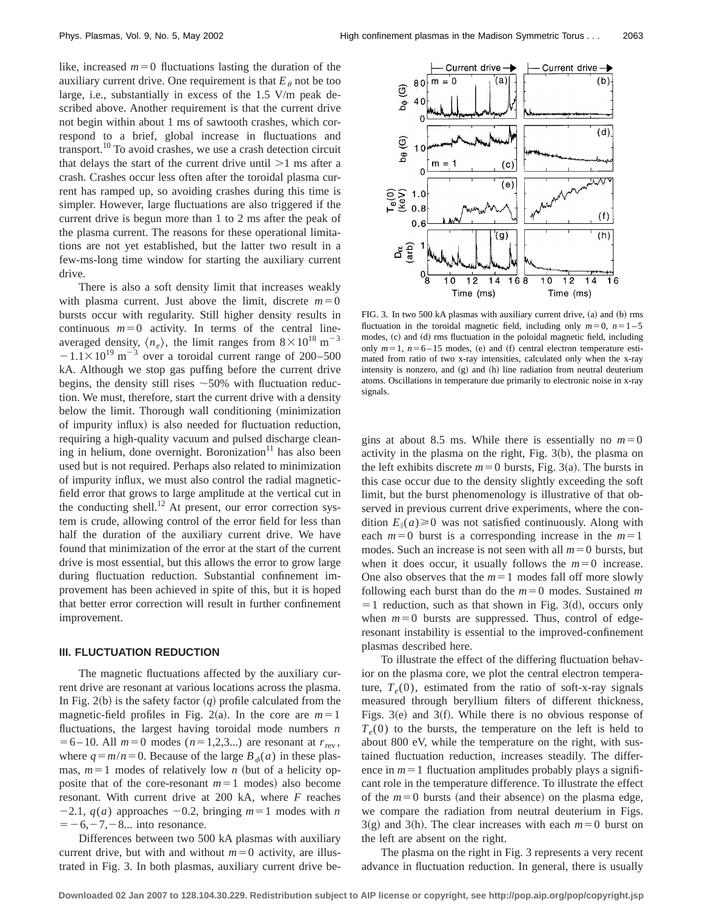like, increased  $m=0$  fluctuations lasting the duration of the auxiliary current drive. One requirement is that  $E_\theta$  not be too large, i.e., substantially in excess of the 1.5 V/m peak described above. Another requirement is that the current drive not begin within about 1 ms of sawtooth crashes, which correspond to a brief, global increase in fluctuations and transport. $^{10}$  To avoid crashes, we use a crash detection circuit that delays the start of the current drive until  $>1$  ms after a crash. Crashes occur less often after the toroidal plasma current has ramped up, so avoiding crashes during this time is simpler. However, large fluctuations are also triggered if the current drive is begun more than 1 to 2 ms after the peak of the plasma current. The reasons for these operational limitations are not yet established, but the latter two result in a few-ms-long time window for starting the auxiliary current drive.

There is also a soft density limit that increases weakly with plasma current. Just above the limit, discrete  $m=0$ bursts occur with regularity. Still higher density results in continuous  $m=0$  activity. In terms of the central lineaveraged density,  $\langle n_e \rangle$ , the limit ranges from  $8 \times 10^{18}$  m<sup>-3</sup>  $-1.1\times10^{19}$  m<sup>-3</sup> over a toroidal current range of 200–500 kA. Although we stop gas puffing before the current drive begins, the density still rises  $\sim$  50% with fluctuation reduction. We must, therefore, start the current drive with a density below the limit. Thorough wall conditioning (minimization of impurity influx) is also needed for fluctuation reduction, requiring a high-quality vacuum and pulsed discharge cleaning in helium, done overnight. Boronization $\mathbf{u}$  has also been used but is not required. Perhaps also related to minimization of impurity influx, we must also control the radial magneticfield error that grows to large amplitude at the vertical cut in the conducting shell.<sup>12</sup> At present, our error correction system is crude, allowing control of the error field for less than half the duration of the auxiliary current drive. We have found that minimization of the error at the start of the current drive is most essential, but this allows the error to grow large during fluctuation reduction. Substantial confinement improvement has been achieved in spite of this, but it is hoped that better error correction will result in further confinement improvement.

### **III. FLUCTUATION REDUCTION**

The magnetic fluctuations affected by the auxiliary current drive are resonant at various locations across the plasma. In Fig. 2(b) is the safety factor  $(q)$  profile calculated from the magnetic-field profiles in Fig. 2(a). In the core are  $m=1$ fluctuations, the largest having toroidal mode numbers *n*  $= 6 - 10$ . All  $m = 0$  modes ( $n = 1,2,3...$ ) are resonant at  $r_{rev}$ , where  $q = m/n = 0$ . Because of the large  $B_{\phi}(a)$  in these plasmas,  $m=1$  modes of relatively low *n* (but of a helicity opposite that of the core-resonant  $m=1$  modes) also become resonant. With current drive at 200 kA, where *F* reaches  $-2.1$ ,  $q(a)$  approaches  $-0.2$ , bringing  $m=1$  modes with *n*  $=$  -6, -7, -8... into resonance.

Differences between two 500 kA plasmas with auxiliary current drive, but with and without  $m=0$  activity, are illustrated in Fig. 3. In both plasmas, auxiliary current drive be-



FIG. 3. In two 500 kA plasmas with auxiliary current drive, (a) and (b) rms fluctuation in the toroidal magnetic field, including only  $m=0$ ,  $n=1-5$ modes, (c) and (d) rms fluctuation in the poloidal magnetic field, including only  $m=1$ ,  $n=6-15$  modes, (e) and (f) central electron temperature estimated from ratio of two x-ray intensities, calculated only when the x-ray intensity is nonzero, and  $(g)$  and  $(h)$  line radiation from neutral deuterium atoms. Oscillations in temperature due primarily to electronic noise in x-ray signals.

gins at about 8.5 ms. While there is essentially no  $m=0$ activity in the plasma on the right, Fig.  $3(b)$ , the plasma on the left exhibits discrete  $m=0$  bursts, Fig. 3(a). The bursts in this case occur due to the density slightly exceeding the soft limit, but the burst phenomenology is illustrative of that observed in previous current drive experiments, where the condition  $E_{\parallel}(a) \ge 0$  was not satisfied continuously. Along with each  $m=0$  burst is a corresponding increase in the  $m=1$ modes. Such an increase is not seen with all  $m=0$  bursts, but when it does occur, it usually follows the  $m=0$  increase. One also observes that the  $m=1$  modes fall off more slowly following each burst than do the  $m=0$  modes. Sustained m  $=$  1 reduction, such as that shown in Fig. 3(d), occurs only when  $m=0$  bursts are suppressed. Thus, control of edgeresonant instability is essential to the improved-confinement plasmas described here.

To illustrate the effect of the differing fluctuation behavior on the plasma core, we plot the central electron temperature,  $T_e(0)$ , estimated from the ratio of soft-x-ray signals measured through beryllium filters of different thickness, Figs.  $3(e)$  and  $3(f)$ . While there is no obvious response of  $T_e(0)$  to the bursts, the temperature on the left is held to about 800 eV, while the temperature on the right, with sustained fluctuation reduction, increases steadily. The difference in  $m=1$  fluctuation amplitudes probably plays a significant role in the temperature difference. To illustrate the effect of the  $m=0$  bursts (and their absence) on the plasma edge, we compare the radiation from neutral deuterium in Figs.  $3(g)$  and 3(h). The clear increases with each  $m=0$  burst on the left are absent on the right.

The plasma on the right in Fig. 3 represents a very recent advance in fluctuation reduction. In general, there is usually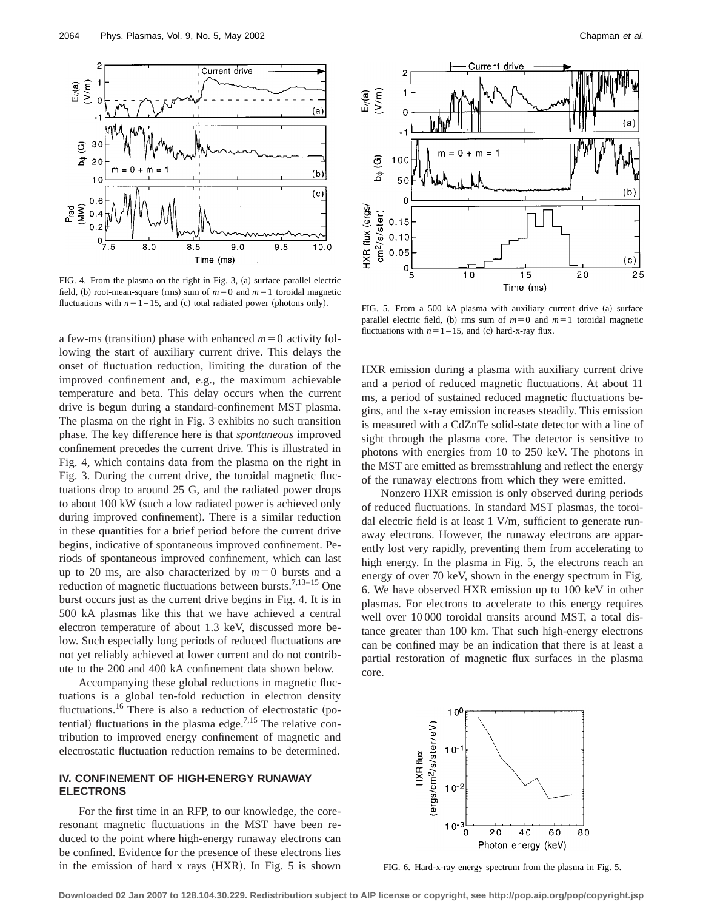

FIG. 4. From the plasma on the right in Fig. 3,  $(a)$  surface parallel electric field, (b) root-mean-square (rms) sum of  $m=0$  and  $m=1$  toroidal magnetic fluctuations with  $n=1-15$ , and (c) total radiated power (photons only). FIG. 5. From a 500 kA plasma with auxiliary current drive (a) surface

a few-ms (transition) phase with enhanced  $m=0$  activity following the start of auxiliary current drive. This delays the onset of fluctuation reduction, limiting the duration of the improved confinement and, e.g., the maximum achievable temperature and beta. This delay occurs when the current drive is begun during a standard-confinement MST plasma. The plasma on the right in Fig. 3 exhibits no such transition phase. The key difference here is that *spontaneous* improved confinement precedes the current drive. This is illustrated in Fig. 4, which contains data from the plasma on the right in Fig. 3. During the current drive, the toroidal magnetic fluctuations drop to around 25 G, and the radiated power drops to about 100 kW (such a low radiated power is achieved only during improved confinement). There is a similar reduction in these quantities for a brief period before the current drive begins, indicative of spontaneous improved confinement. Periods of spontaneous improved confinement, which can last up to 20 ms, are also characterized by  $m=0$  bursts and a reduction of magnetic fluctuations between bursts.<sup>7,13-15</sup> One burst occurs just as the current drive begins in Fig. 4. It is in 500 kA plasmas like this that we have achieved a central electron temperature of about 1.3 keV, discussed more below. Such especially long periods of reduced fluctuations are not yet reliably achieved at lower current and do not contribute to the 200 and 400 kA confinement data shown below.

Accompanying these global reductions in magnetic fluctuations is a global ten-fold reduction in electron density fluctuations.<sup>16</sup> There is also a reduction of electrostatic (potential) fluctuations in the plasma edge.<sup>7,15</sup> The relative contribution to improved energy confinement of magnetic and electrostatic fluctuation reduction remains to be determined.

## **IV. CONFINEMENT OF HIGH-ENERGY RUNAWAY ELECTRONS**

For the first time in an RFP, to our knowledge, the coreresonant magnetic fluctuations in the MST have been reduced to the point where high-energy runaway electrons can be confined. Evidence for the presence of these electrons lies in the emission of hard  $x$  rays  $(HXR)$ . In Fig. 5 is shown



parallel electric field, (b) rms sum of  $m=0$  and  $m=1$  toroidal magnetic fluctuations with  $n=1-15$ , and (c) hard-x-ray flux.

HXR emission during a plasma with auxiliary current drive and a period of reduced magnetic fluctuations. At about 11 ms, a period of sustained reduced magnetic fluctuations begins, and the x-ray emission increases steadily. This emission is measured with a CdZnTe solid-state detector with a line of sight through the plasma core. The detector is sensitive to photons with energies from 10 to 250 keV. The photons in the MST are emitted as bremsstrahlung and reflect the energy of the runaway electrons from which they were emitted.

Nonzero HXR emission is only observed during periods of reduced fluctuations. In standard MST plasmas, the toroidal electric field is at least 1 V/m, sufficient to generate runaway electrons. However, the runaway electrons are apparently lost very rapidly, preventing them from accelerating to high energy. In the plasma in Fig. 5, the electrons reach an energy of over 70 keV, shown in the energy spectrum in Fig. 6. We have observed HXR emission up to 100 keV in other plasmas. For electrons to accelerate to this energy requires well over 10 000 toroidal transits around MST, a total distance greater than 100 km. That such high-energy electrons can be confined may be an indication that there is at least a partial restoration of magnetic flux surfaces in the plasma core.



FIG. 6. Hard-x-ray energy spectrum from the plasma in Fig. 5.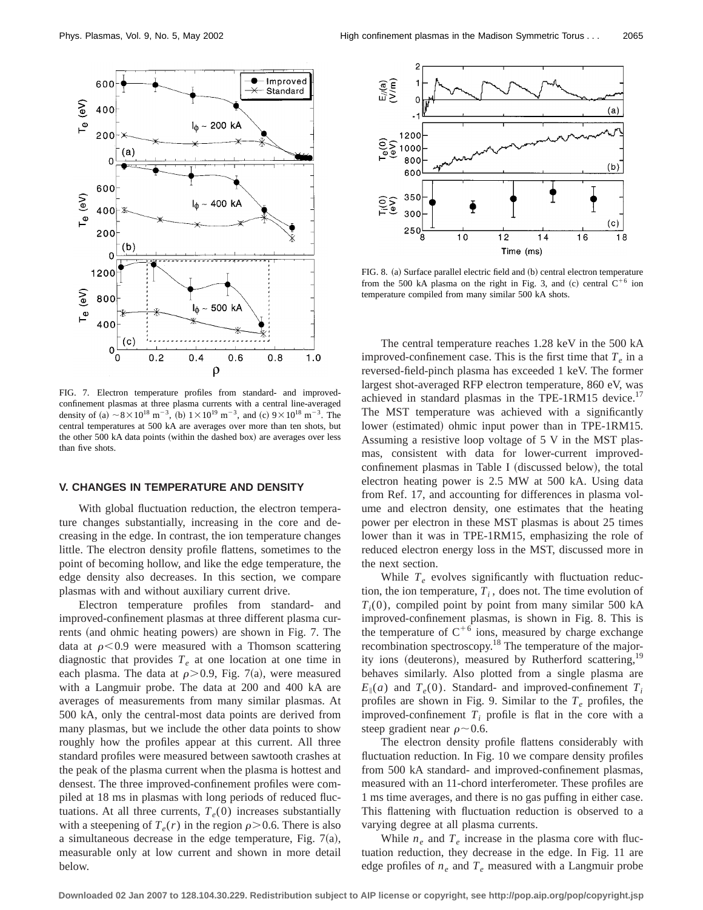

FIG. 7. Electron temperature profiles from standard- and improvedconfinement plasmas at three plasma currents with a central line-averaged density of (a)  $\sim 8 \times 10^{18}$  m<sup>-3</sup>, (b)  $1 \times 10^{19}$  m<sup>-3</sup>, and (c)  $9 \times 10^{18}$  m<sup>-3</sup>. The central temperatures at 500 kA are averages over more than ten shots, but the other 500 kA data points (within the dashed box) are averages over less than five shots.

## **V. CHANGES IN TEMPERATURE AND DENSITY**

With global fluctuation reduction, the electron temperature changes substantially, increasing in the core and decreasing in the edge. In contrast, the ion temperature changes little. The electron density profile flattens, sometimes to the point of becoming hollow, and like the edge temperature, the edge density also decreases. In this section, we compare plasmas with and without auxiliary current drive.

Electron temperature profiles from standard- and improved-confinement plasmas at three different plasma currents (and ohmic heating powers) are shown in Fig. 7. The data at  $\rho$ <0.9 were measured with a Thomson scattering diagnostic that provides  $T<sub>e</sub>$  at one location at one time in each plasma. The data at  $\rho$  > 0.9, Fig. 7(a), were measured with a Langmuir probe. The data at 200 and 400 kA are averages of measurements from many similar plasmas. At 500 kA, only the central-most data points are derived from many plasmas, but we include the other data points to show roughly how the profiles appear at this current. All three standard profiles were measured between sawtooth crashes at the peak of the plasma current when the plasma is hottest and densest. The three improved-confinement profiles were compiled at 18 ms in plasmas with long periods of reduced fluctuations. At all three currents,  $T_e(0)$  increases substantially with a steepening of  $T_e(r)$  in the region  $\rho > 0.6$ . There is also a simultaneous decrease in the edge temperature, Fig.  $7(a)$ , measurable only at low current and shown in more detail below.



FIG. 8. (a) Surface parallel electric field and (b) central electron temperature from the 500 kA plasma on the right in Fig. 3, and (c) central  $C^{+6}$  ion temperature compiled from many similar 500 kA shots.

The central temperature reaches 1.28 keV in the 500 kA improved-confinement case. This is the first time that  $T_e$  in a reversed-field-pinch plasma has exceeded 1 keV. The former largest shot-averaged RFP electron temperature, 860 eV, was achieved in standard plasmas in the TPE-1RM15 device.<sup>17</sup> The MST temperature was achieved with a significantly lower (estimated) ohmic input power than in TPE-1RM15. Assuming a resistive loop voltage of 5 V in the MST plasmas, consistent with data for lower-current improvedconfinement plasmas in Table I (discussed below), the total electron heating power is 2.5 MW at 500 kA. Using data from Ref. 17, and accounting for differences in plasma volume and electron density, one estimates that the heating power per electron in these MST plasmas is about 25 times lower than it was in TPE-1RM15, emphasizing the role of reduced electron energy loss in the MST, discussed more in the next section.

While  $T_e$  evolves significantly with fluctuation reduction, the ion temperature,  $T_i$ , does not. The time evolution of  $T_i(0)$ , compiled point by point from many similar 500 kA improved-confinement plasmas, is shown in Fig. 8. This is the temperature of  $C^{+6}$  ions, measured by charge exchange recombination spectroscopy.18 The temperature of the majority ions (deuterons), measured by Rutherford scattering,<sup>19</sup> behaves similarly. Also plotted from a single plasma are  $E_{\parallel}(a)$  and  $T_e(0)$ . Standard- and improved-confinement  $T_i$ profiles are shown in Fig. 9. Similar to the  $T_e$  profiles, the improved-confinement  $T_i$  profile is flat in the core with a steep gradient near  $\rho \sim 0.6$ .

The electron density profile flattens considerably with fluctuation reduction. In Fig. 10 we compare density profiles from 500 kA standard- and improved-confinement plasmas, measured with an 11-chord interferometer. These profiles are 1 ms time averages, and there is no gas puffing in either case. This flattening with fluctuation reduction is observed to a varying degree at all plasma currents.

While  $n_e$  and  $T_e$  increase in the plasma core with fluctuation reduction, they decrease in the edge. In Fig. 11 are edge profiles of  $n_e$  and  $T_e$  measured with a Langmuir probe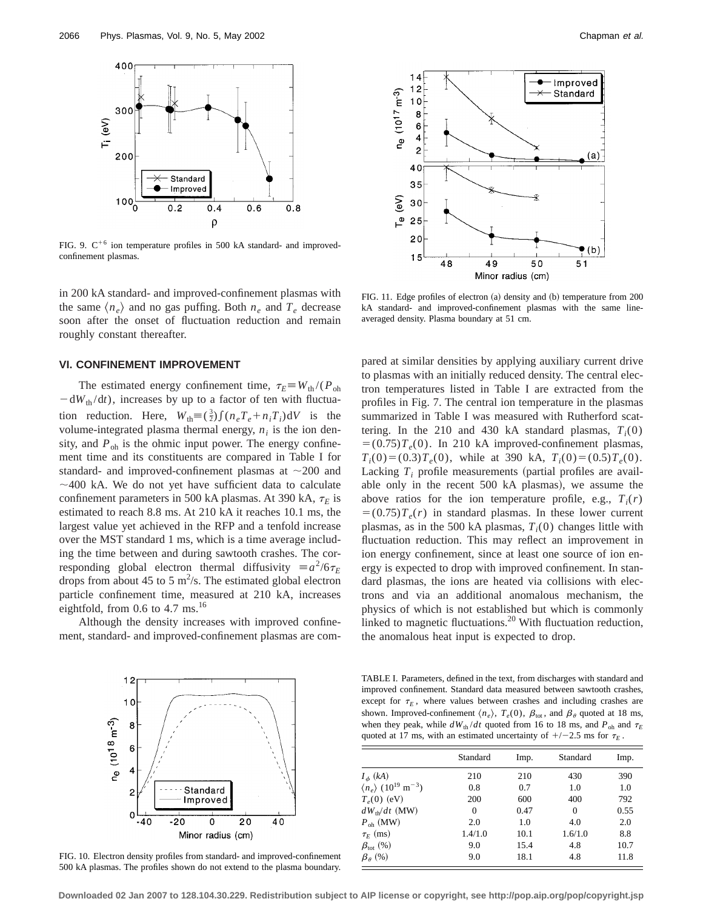

FIG. 9.  $C^{+6}$  ion temperature profiles in 500 kA standard- and improvedconfinement plasmas.

in 200 kA standard- and improved-confinement plasmas with the same  $\langle n_e \rangle$  and no gas puffing. Both  $n_e$  and  $T_e$  decrease soon after the onset of fluctuation reduction and remain roughly constant thereafter.

## **VI. CONFINEMENT IMPROVEMENT**

The estimated energy confinement time,  $\tau_E \equiv W_{th}/(P_{oh})$  $-dW_{th}/dt$ ), increases by up to a factor of ten with fluctuation reduction. Here,  $W_{\text{th}} = (\frac{3}{2}) \int (n_e T_e + n_i T_i) dV$  is the volume-integrated plasma thermal energy,  $n_i$  is the ion density, and  $P_{\text{oh}}$  is the ohmic input power. The energy confinement time and its constituents are compared in Table I for standard- and improved-confinement plasmas at  $\sim$ 200 and  $\sim$  400 kA. We do not yet have sufficient data to calculate confinement parameters in 500 kA plasmas. At 390 kA,  $\tau_E$  is estimated to reach 8.8 ms. At 210 kA it reaches 10.1 ms, the largest value yet achieved in the RFP and a tenfold increase over the MST standard 1 ms, which is a time average including the time between and during sawtooth crashes. The corresponding global electron thermal diffusivity  $\equiv a^2/6\tau_E$ drops from about 45 to 5  $\text{m}^2$ /s. The estimated global electron particle confinement time, measured at 210 kA, increases eightfold, from  $0.6$  to  $4.7 \text{ ms}$ .<sup>16</sup>

Although the density increases with improved confinement, standard- and improved-confinement plasmas are com-



FIG. 10. Electron density profiles from standard- and improved-confinement 500 kA plasmas. The profiles shown do not extend to the plasma boundary.



FIG. 11. Edge profiles of electron  $(a)$  density and  $(b)$  temperature from 200 kA standard- and improved-confinement plasmas with the same lineaveraged density. Plasma boundary at 51 cm.

pared at similar densities by applying auxiliary current drive to plasmas with an initially reduced density. The central electron temperatures listed in Table I are extracted from the profiles in Fig. 7. The central ion temperature in the plasmas summarized in Table I was measured with Rutherford scattering. In the 210 and 430 kA standard plasmas,  $T_i(0)$  $= (0.75)T<sub>e</sub>(0)$ . In 210 kA improved-confinement plasmas,  $T_i(0)=(0.3)T_e(0)$ , while at 390 kA,  $T_i(0)=(0.5)T_e(0)$ . Lacking  $T_i$  profile measurements (partial profiles are available only in the recent  $500$  kA plasmas), we assume the above ratios for the ion temperature profile, e.g.,  $T_i(r)$  $= (0.75)T_e(r)$  in standard plasmas. In these lower current plasmas, as in the 500 kA plasmas,  $T_i(0)$  changes little with fluctuation reduction. This may reflect an improvement in ion energy confinement, since at least one source of ion energy is expected to drop with improved confinement. In standard plasmas, the ions are heated via collisions with electrons and via an additional anomalous mechanism, the physics of which is not established but which is commonly linked to magnetic fluctuations.<sup>20</sup> With fluctuation reduction, the anomalous heat input is expected to drop.

TABLE I. Parameters, defined in the text, from discharges with standard and improved confinement. Standard data measured between sawtooth crashes, except for  $\tau_E$ , where values between crashes and including crashes are shown. Improved-confinement  $\langle n_e \rangle$ ,  $T_e(0)$ ,  $\beta_{\text{tot}}$ , and  $\beta_\theta$  quoted at 18 ms, when they peak, while  $dW_{th}/dt$  quoted from 16 to 18 ms, and  $P_{oh}$  and  $\tau_E$ quoted at 17 ms, with an estimated uncertainty of  $+/-2.5$  ms for  $\tau_E$ .

|                                                           | Standard | Imp. | Standard | Imp. |
|-----------------------------------------------------------|----------|------|----------|------|
| $I_{\phi}$ (kA)                                           | 210      | 210  | 430      | 390  |
| $\langle n_e \rangle$ (10 <sup>19</sup> m <sup>-3</sup> ) | 0.8      | 0.7  | 1.0      | 1.0  |
| $T_e(0)$ (eV)                                             | 200      | 600  | 400      | 792  |
| $dW_{\text{th}}/dt$ (MW)                                  | $\Omega$ | 0.47 | $\Omega$ | 0.55 |
| $P_{\text{oh}}$ (MW)                                      | 2.0      | 1.0  | 4.0      | 2.0  |
| $\tau_F$ (ms)                                             | 1.4/1.0  | 10.1 | 1.6/1.0  | 8.8  |
| $\beta_{\rm tot}$ (%)                                     | 9.0      | 15.4 | 4.8      | 10.7 |
| $\beta_{\theta}$ (%)                                      | 9.0      | 18.1 | 4.8      | 11.8 |

**Downloaded 02 Jan 2007 to 128.104.30.229. Redistribution subject to AIP license or copyright, see http://pop.aip.org/pop/copyright.jsp**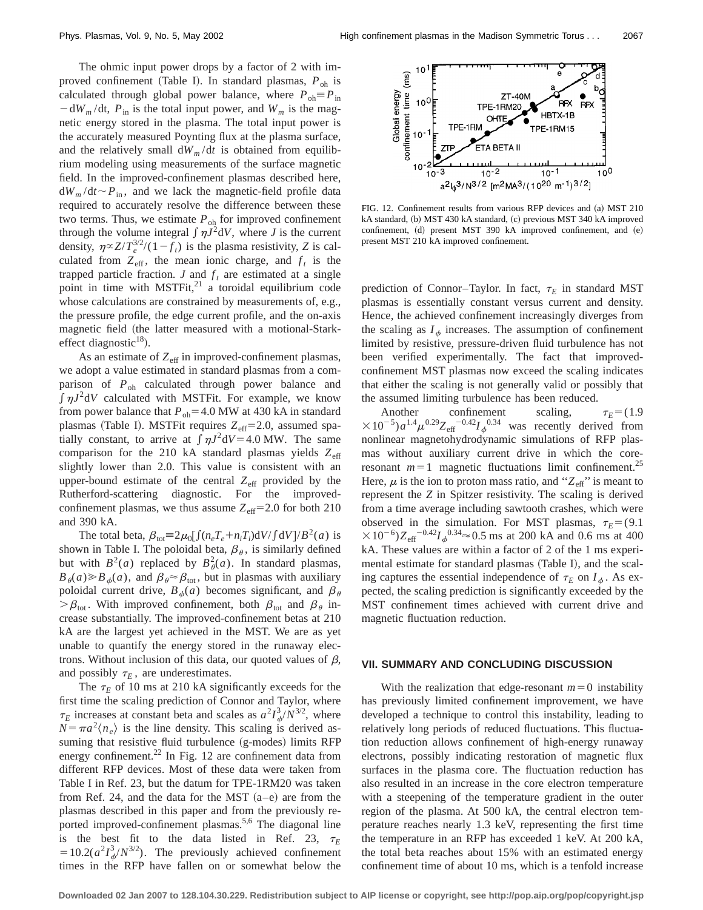The ohmic input power drops by a factor of 2 with improved confinement (Table I). In standard plasmas,  $P_{oh}$  is calculated through global power balance, where  $P_{oh} \equiv P_{in}$  $-\frac{dW_m}{dt}$ ,  $P_{in}$  is the total input power, and  $W_m$  is the magnetic energy stored in the plasma. The total input power is the accurately measured Poynting flux at the plasma surface, and the relatively small  $dW_m/dt$  is obtained from equilibrium modeling using measurements of the surface magnetic field. In the improved-confinement plasmas described here,  $dW_m/dt \sim P_{in}$ , and we lack the magnetic-field profile data required to accurately resolve the difference between these two terms. Thus, we estimate  $P_{oh}$  for improved confinement through the volume integral  $\int \eta J^2 dV$ , where *J* is the current density,  $\eta \propto Z/T_e^{3/2}/(1-f_t)$  is the plasma resistivity, *Z* is calculated from  $Z_{\text{eff}}$ , the mean ionic charge, and  $f_t$  is the trapped particle fraction.  $J$  and  $f_t$  are estimated at a single point in time with  $MSTFit^{21}$  a toroidal equilibrium code whose calculations are constrained by measurements of, e.g., the pressure profile, the edge current profile, and the on-axis magnetic field (the latter measured with a motional-Starkeffect diagnostic $^{18}$ ).

As an estimate of  $Z_{\text{eff}}$  in improved-confinement plasmas, we adopt a value estimated in standard plasmas from a comparison of *P*oh calculated through power balance and  $\int \eta J^2 dV$  calculated with MSTFit. For example, we know from power balance that  $P_{oh}$ =4.0 MW at 430 kA in standard plasmas (Table I). MSTFit requires  $Z_{\text{eff}}=2.0$ , assumed spatially constant, to arrive at  $\int \eta J^2 dV = 4.0 \text{ MW}$ . The same comparison for the 210 kA standard plasmas yields Z<sub>eff</sub> slightly lower than 2.0. This value is consistent with an upper-bound estimate of the central  $Z_{\text{eff}}$  provided by the Rutherford-scattering diagnostic. For the improvedconfinement plasmas, we thus assume  $Z_{\text{eff}}$ =2.0 for both 210 and 390 kA.

The total beta,  $\beta_{\text{tot}} \equiv 2\mu_0 \left[ \int (n_e T_e + n_i T_i) \mathrm{d}V / \int \mathrm{d}V \right] / B^2(a)$  is shown in Table I. The poloidal beta,  $\beta_{\theta}$ , is similarly defined but with  $B^2(a)$  replaced by  $B^2_{\theta}(a)$ . In standard plasmas,  $B_{\theta}(a) \ge B_{\phi}(a)$ , and  $\beta_{\theta} \approx \beta_{\text{tot}}$ , but in plasmas with auxiliary poloidal current drive,  $B_{\phi}(a)$  becomes significant, and  $\beta_{\theta}$  $\beta_{\text{tot}}$ . With improved confinement, both  $\beta_{\text{tot}}$  and  $\beta_{\theta}$  increase substantially. The improved-confinement betas at 210 kA are the largest yet achieved in the MST. We are as yet unable to quantify the energy stored in the runaway electrons. Without inclusion of this data, our quoted values of  $\beta$ , and possibly  $\tau_E$ , are underestimates.

The  $\tau_E$  of 10 ms at 210 kA significantly exceeds for the first time the scaling prediction of Connor and Taylor, where  $\tau_E$  increases at constant beta and scales as  $a^2 I_{\phi}^3 / N^{3/2}$ , where  $N = \pi a^2 \langle n_e \rangle$  is the line density. This scaling is derived assuming that resistive fluid turbulence (g-modes) limits RFP energy confinement. $^{22}$  In Fig. 12 are confinement data from different RFP devices. Most of these data were taken from Table I in Ref. 23, but the datum for TPE-1RM20 was taken from Ref. 24, and the data for the MST  $(a-e)$  are from the plasmas described in this paper and from the previously reported improved-confinement plasmas.<sup>5,6</sup> The diagonal line is the best fit to the data listed in Ref. 23,  $\tau_E$  $=10.2(a^2I_\phi^3/N^{3/2})$ . The previously achieved confinement times in the RFP have fallen on or somewhat below the



FIG. 12. Confinement results from various RFP devices and (a) MST 210 kA standard, (b) MST 430 kA standard, (c) previous MST 340 kA improved confinement, (d) present MST 390 kA improved confinement, and (e) present MST 210 kA improved confinement.

prediction of Connor–Taylor. In fact,  $\tau_E$  in standard MST plasmas is essentially constant versus current and density. Hence, the achieved confinement increasingly diverges from the scaling as  $I_{\phi}$  increases. The assumption of confinement limited by resistive, pressure-driven fluid turbulence has not been verified experimentally. The fact that improvedconfinement MST plasmas now exceed the scaling indicates that either the scaling is not generally valid or possibly that the assumed limiting turbulence has been reduced.

Another confinement scaling,  $\tau_E = (1.9$  $\times 10^{-5}$ ) $a^{1.4}\mu^{0.29}Z_{\text{eff}}$ <sup>-0.42</sup>*I*<sub>φ</sub><sup>0.34</sup> was recently derived from nonlinear magnetohydrodynamic simulations of RFP plasmas without auxiliary current drive in which the coreresonant  $m=1$  magnetic fluctuations limit confinement.<sup>25</sup> Here,  $\mu$  is the ion to proton mass ratio, and " $Z_{\text{eff}}$ " is meant to represent the *Z* in Spitzer resistivity. The scaling is derived from a time average including sawtooth crashes, which were observed in the simulation. For MST plasmas,  $\tau_E = (9.1)$  $310^{-6}$ ) $Z_{\text{eff}}$ <sup>-0.42</sup> $I_{\phi}$ <sup>0.34</sup> $\approx$  0.5 ms at 200 kA and 0.6 ms at 400 kA. These values are within a factor of 2 of the 1 ms experimental estimate for standard plasmas (Table I), and the scaling captures the essential independence of  $\tau_E$  on  $I_{\phi}$ . As expected, the scaling prediction is significantly exceeded by the MST confinement times achieved with current drive and magnetic fluctuation reduction.

### **VII. SUMMARY AND CONCLUDING DISCUSSION**

With the realization that edge-resonant  $m=0$  instability has previously limited confinement improvement, we have developed a technique to control this instability, leading to relatively long periods of reduced fluctuations. This fluctuation reduction allows confinement of high-energy runaway electrons, possibly indicating restoration of magnetic flux surfaces in the plasma core. The fluctuation reduction has also resulted in an increase in the core electron temperature with a steepening of the temperature gradient in the outer region of the plasma. At 500 kA, the central electron temperature reaches nearly 1.3 keV, representing the first time the temperature in an RFP has exceeded 1 keV. At 200 kA, the total beta reaches about 15% with an estimated energy confinement time of about 10 ms, which is a tenfold increase